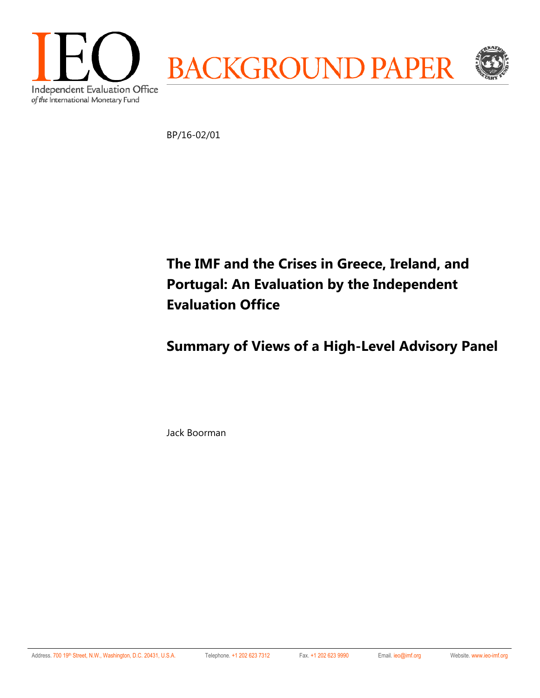

BP/16-02/01

**The IMF and the Crises in Greece, Ireland, and Portugal: An Evaluation by the Independent Evaluation Office** 

**Summary of Views of a High-Level Advisory Panel** 

Jack Boorman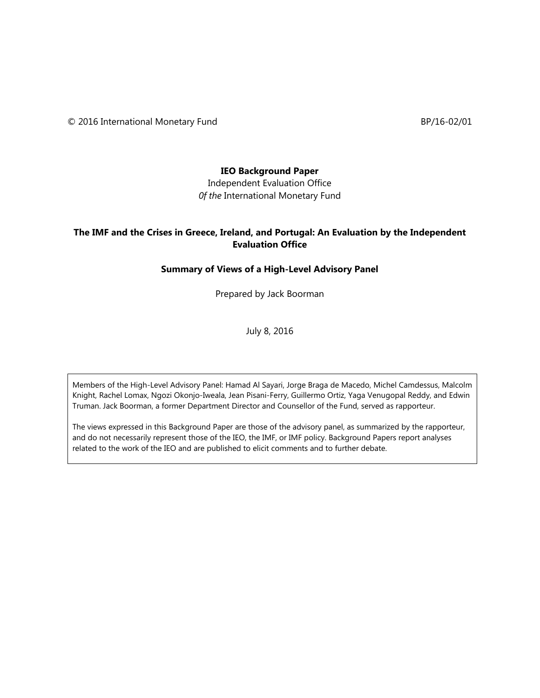© 2016 International Monetary Fund BP/16-02/01

### **IEO Background Paper**

Independent Evaluation Office *0f the* International Monetary Fund

### **The IMF and the Crises in Greece, Ireland, and Portugal: An Evaluation by the Independent Evaluation Office**

### **Summary of Views of a High-Level Advisory Panel**

Prepared by Jack Boorman

July 8, 2016

Members of the High-Level Advisory Panel: Hamad Al Sayari, Jorge Braga de Macedo, Michel Camdessus, Malcolm Knight, Rachel Lomax, Ngozi Okonjo-Iweala, Jean Pisani-Ferry, Guillermo Ortiz, Yaga Venugopal Reddy, and Edwin Truman. Jack Boorman, a former Department Director and Counsellor of the Fund, served as rapporteur.

The views expressed in this Background Paper are those of the advisory panel, as summarized by the rapporteur, and do not necessarily represent those of the IEO, the IMF, or IMF policy. Background Papers report analyses related to the work of the IEO and are published to elicit comments and to further debate.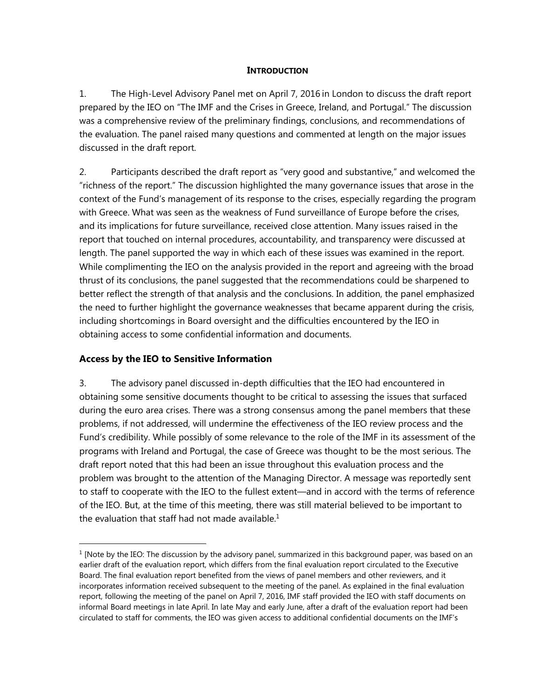### **INTRODUCTION**

1. The High-Level Advisory Panel met on April 7, 2016 in London to discuss the draft report prepared by the IEO on "The IMF and the Crises in Greece, Ireland, and Portugal." The discussion was a comprehensive review of the preliminary findings, conclusions, and recommendations of the evaluation. The panel raised many questions and commented at length on the major issues discussed in the draft report.

2. Participants described the draft report as "very good and substantive," and welcomed the "richness of the report." The discussion highlighted the many governance issues that arose in the context of the Fund's management of its response to the crises, especially regarding the program with Greece. What was seen as the weakness of Fund surveillance of Europe before the crises, and its implications for future surveillance, received close attention. Many issues raised in the report that touched on internal procedures, accountability, and transparency were discussed at length. The panel supported the way in which each of these issues was examined in the report. While complimenting the IEO on the analysis provided in the report and agreeing with the broad thrust of its conclusions, the panel suggested that the recommendations could be sharpened to better reflect the strength of that analysis and the conclusions. In addition, the panel emphasized the need to further highlight the governance weaknesses that became apparent during the crisis, including shortcomings in Board oversight and the difficulties encountered by the IEO in obtaining access to some confidential information and documents.

## **Access by the IEO to Sensitive Information**

 $\overline{a}$ 

3. The advisory panel discussed in-depth difficulties that the IEO had encountered in obtaining some sensitive documents thought to be critical to assessing the issues that surfaced during the euro area crises. There was a strong consensus among the panel members that these problems, if not addressed, will undermine the effectiveness of the IEO review process and the Fund's credibility. While possibly of some relevance to the role of the IMF in its assessment of the programs with Ireland and Portugal, the case of Greece was thought to be the most serious. The draft report noted that this had been an issue throughout this evaluation process and the problem was brought to the attention of the Managing Director. A message was reportedly sent to staff to cooperate with the IEO to the fullest extent—and in accord with the terms of reference of the IEO. But, at the time of this meeting, there was still material believed to be important to the evaluation that staff had not made available. $1$ 

<sup>&</sup>lt;sup>1</sup> [Note by the IEO: The discussion by the advisory panel, summarized in this background paper, was based on an earlier draft of the evaluation report, which differs from the final evaluation report circulated to the Executive Board. The final evaluation report benefited from the views of panel members and other reviewers, and it incorporates information received subsequent to the meeting of the panel. As explained in the final evaluation report, following the meeting of the panel on April 7, 2016, IMF staff provided the IEO with staff documents on informal Board meetings in late April. In late May and early June, after a draft of the evaluation report had been circulated to staff for comments, the IEO was given access to additional confidential documents on the IMF's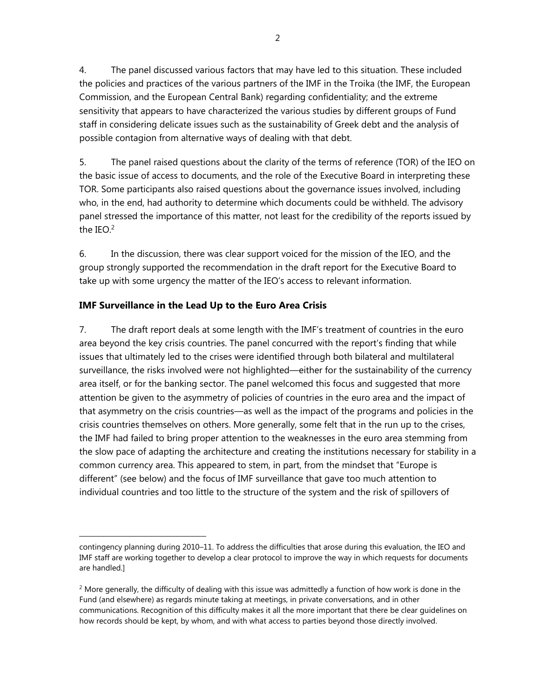4. The panel discussed various factors that may have led to this situation. These included the policies and practices of the various partners of the IMF in the Troika (the IMF, the European Commission, and the European Central Bank) regarding confidentiality; and the extreme sensitivity that appears to have characterized the various studies by different groups of Fund staff in considering delicate issues such as the sustainability of Greek debt and the analysis of possible contagion from alternative ways of dealing with that debt.

5. The panel raised questions about the clarity of the terms of reference (TOR) of the IEO on the basic issue of access to documents, and the role of the Executive Board in interpreting these TOR. Some participants also raised questions about the governance issues involved, including who, in the end, had authority to determine which documents could be withheld. The advisory panel stressed the importance of this matter, not least for the credibility of the reports issued by the  $IEO.<sup>2</sup>$ 

6. In the discussion, there was clear support voiced for the mission of the IEO, and the group strongly supported the recommendation in the draft report for the Executive Board to take up with some urgency the matter of the IEO's access to relevant information.

# **IMF Surveillance in the Lead Up to the Euro Area Crisis**

 $\overline{a}$ 

7. The draft report deals at some length with the IMF's treatment of countries in the euro area beyond the key crisis countries. The panel concurred with the report's finding that while issues that ultimately led to the crises were identified through both bilateral and multilateral surveillance, the risks involved were not highlighted—either for the sustainability of the currency area itself, or for the banking sector. The panel welcomed this focus and suggested that more attention be given to the asymmetry of policies of countries in the euro area and the impact of that asymmetry on the crisis countries—as well as the impact of the programs and policies in the crisis countries themselves on others. More generally, some felt that in the run up to the crises, the IMF had failed to bring proper attention to the weaknesses in the euro area stemming from the slow pace of adapting the architecture and creating the institutions necessary for stability in a common currency area. This appeared to stem, in part, from the mindset that "Europe is different" (see below) and the focus of IMF surveillance that gave too much attention to individual countries and too little to the structure of the system and the risk of spillovers of

contingency planning during 2010–11. To address the difficulties that arose during this evaluation, the IEO and IMF staff are working together to develop a clear protocol to improve the way in which requests for documents are handled.]

 $<sup>2</sup>$  More generally, the difficulty of dealing with this issue was admittedly a function of how work is done in the</sup> Fund (and elsewhere) as regards minute taking at meetings, in private conversations, and in other communications. Recognition of this difficulty makes it all the more important that there be clear guidelines on how records should be kept, by whom, and with what access to parties beyond those directly involved.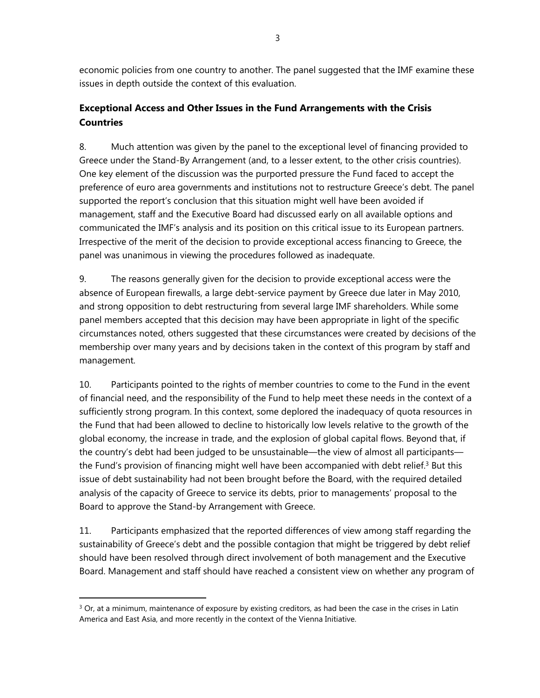economic policies from one country to another. The panel suggested that the IMF examine these issues in depth outside the context of this evaluation.

# **Exceptional Access and Other Issues in the Fund Arrangements with the Crisis Countries**

8. Much attention was given by the panel to the exceptional level of financing provided to Greece under the Stand-By Arrangement (and, to a lesser extent, to the other crisis countries). One key element of the discussion was the purported pressure the Fund faced to accept the preference of euro area governments and institutions not to restructure Greece's debt. The panel supported the report's conclusion that this situation might well have been avoided if management, staff and the Executive Board had discussed early on all available options and communicated the IMF's analysis and its position on this critical issue to its European partners. Irrespective of the merit of the decision to provide exceptional access financing to Greece, the panel was unanimous in viewing the procedures followed as inadequate.

9. The reasons generally given for the decision to provide exceptional access were the absence of European firewalls, a large debt-service payment by Greece due later in May 2010, and strong opposition to debt restructuring from several large IMF shareholders. While some panel members accepted that this decision may have been appropriate in light of the specific circumstances noted, others suggested that these circumstances were created by decisions of the membership over many years and by decisions taken in the context of this program by staff and management.

10. Participants pointed to the rights of member countries to come to the Fund in the event of financial need, and the responsibility of the Fund to help meet these needs in the context of a sufficiently strong program. In this context, some deplored the inadequacy of quota resources in the Fund that had been allowed to decline to historically low levels relative to the growth of the global economy, the increase in trade, and the explosion of global capital flows. Beyond that, if the country's debt had been judged to be unsustainable—the view of almost all participants the Fund's provision of financing might well have been accompanied with debt relief.<sup>3</sup> But this issue of debt sustainability had not been brought before the Board, with the required detailed analysis of the capacity of Greece to service its debts, prior to managements' proposal to the Board to approve the Stand-by Arrangement with Greece.

11. Participants emphasized that the reported differences of view among staff regarding the sustainability of Greece's debt and the possible contagion that might be triggered by debt relief should have been resolved through direct involvement of both management and the Executive Board. Management and staff should have reached a consistent view on whether any program of

 $\overline{a}$ 

 $3$  Or, at a minimum, maintenance of exposure by existing creditors, as had been the case in the crises in Latin America and East Asia, and more recently in the context of the Vienna Initiative.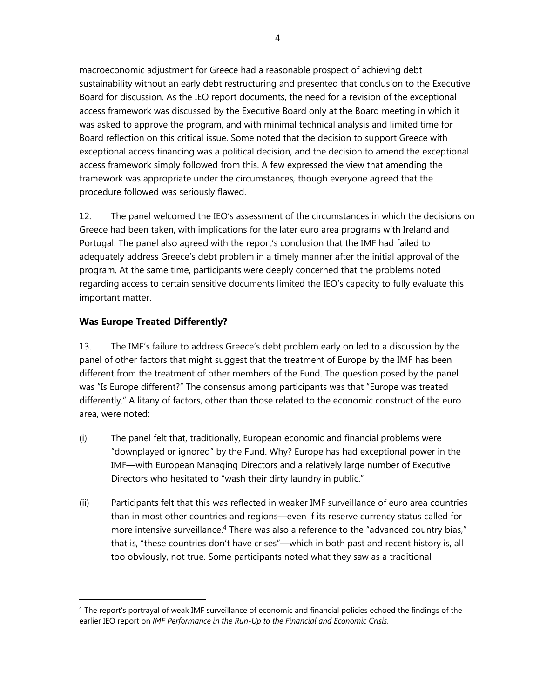macroeconomic adjustment for Greece had a reasonable prospect of achieving debt sustainability without an early debt restructuring and presented that conclusion to the Executive Board for discussion. As the IEO report documents, the need for a revision of the exceptional access framework was discussed by the Executive Board only at the Board meeting in which it was asked to approve the program, and with minimal technical analysis and limited time for Board reflection on this critical issue. Some noted that the decision to support Greece with exceptional access financing was a political decision, and the decision to amend the exceptional access framework simply followed from this. A few expressed the view that amending the framework was appropriate under the circumstances, though everyone agreed that the procedure followed was seriously flawed.

12. The panel welcomed the IEO's assessment of the circumstances in which the decisions on Greece had been taken, with implications for the later euro area programs with Ireland and Portugal. The panel also agreed with the report's conclusion that the IMF had failed to adequately address Greece's debt problem in a timely manner after the initial approval of the program. At the same time, participants were deeply concerned that the problems noted regarding access to certain sensitive documents limited the IEO's capacity to fully evaluate this important matter.

## **Was Europe Treated Differently?**

 $\overline{a}$ 

13. The IMF's failure to address Greece's debt problem early on led to a discussion by the panel of other factors that might suggest that the treatment of Europe by the IMF has been different from the treatment of other members of the Fund. The question posed by the panel was "Is Europe different?" The consensus among participants was that "Europe was treated differently." A litany of factors, other than those related to the economic construct of the euro area, were noted:

- (i) The panel felt that, traditionally, European economic and financial problems were "downplayed or ignored" by the Fund. Why? Europe has had exceptional power in the IMF—with European Managing Directors and a relatively large number of Executive Directors who hesitated to "wash their dirty laundry in public."
- (ii) Participants felt that this was reflected in weaker IMF surveillance of euro area countries than in most other countries and regions—even if its reserve currency status called for more intensive surveillance.4 There was also a reference to the "advanced country bias," that is, "these countries don't have crises"—which in both past and recent history is, all too obviously, not true. Some participants noted what they saw as a traditional

<sup>4</sup> The report's portrayal of weak IMF surveillance of economic and financial policies echoed the findings of the earlier IEO report on *IMF Performance in the Run-Up to the Financial and Economic Crisis*.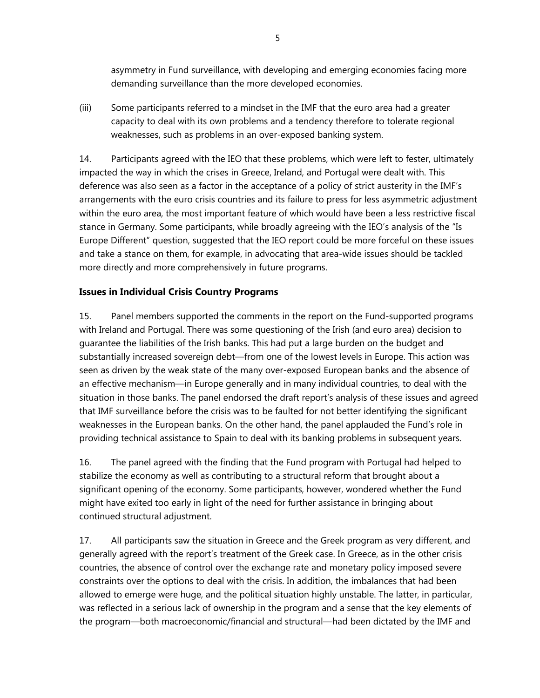asymmetry in Fund surveillance, with developing and emerging economies facing more demanding surveillance than the more developed economies.

(iii) Some participants referred to a mindset in the IMF that the euro area had a greater capacity to deal with its own problems and a tendency therefore to tolerate regional weaknesses, such as problems in an over-exposed banking system.

14. Participants agreed with the IEO that these problems, which were left to fester, ultimately impacted the way in which the crises in Greece, Ireland, and Portugal were dealt with. This deference was also seen as a factor in the acceptance of a policy of strict austerity in the IMF's arrangements with the euro crisis countries and its failure to press for less asymmetric adjustment within the euro area, the most important feature of which would have been a less restrictive fiscal stance in Germany. Some participants, while broadly agreeing with the IEO's analysis of the "Is Europe Different" question, suggested that the IEO report could be more forceful on these issues and take a stance on them, for example, in advocating that area-wide issues should be tackled more directly and more comprehensively in future programs.

## **Issues in Individual Crisis Country Programs**

15. Panel members supported the comments in the report on the Fund-supported programs with Ireland and Portugal. There was some questioning of the Irish (and euro area) decision to guarantee the liabilities of the Irish banks. This had put a large burden on the budget and substantially increased sovereign debt—from one of the lowest levels in Europe. This action was seen as driven by the weak state of the many over-exposed European banks and the absence of an effective mechanism—in Europe generally and in many individual countries, to deal with the situation in those banks. The panel endorsed the draft report's analysis of these issues and agreed that IMF surveillance before the crisis was to be faulted for not better identifying the significant weaknesses in the European banks. On the other hand, the panel applauded the Fund's role in providing technical assistance to Spain to deal with its banking problems in subsequent years.

16. The panel agreed with the finding that the Fund program with Portugal had helped to stabilize the economy as well as contributing to a structural reform that brought about a significant opening of the economy. Some participants, however, wondered whether the Fund might have exited too early in light of the need for further assistance in bringing about continued structural adjustment.

17. All participants saw the situation in Greece and the Greek program as very different, and generally agreed with the report's treatment of the Greek case. In Greece, as in the other crisis countries, the absence of control over the exchange rate and monetary policy imposed severe constraints over the options to deal with the crisis. In addition, the imbalances that had been allowed to emerge were huge, and the political situation highly unstable. The latter, in particular, was reflected in a serious lack of ownership in the program and a sense that the key elements of the program—both macroeconomic/financial and structural—had been dictated by the IMF and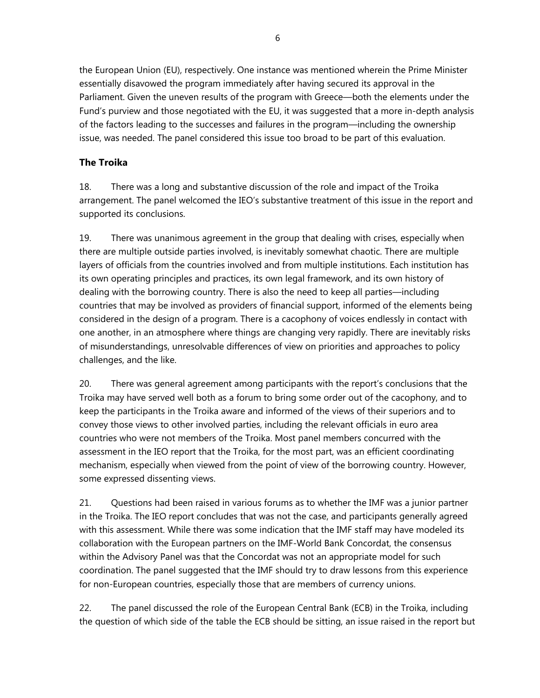the European Union (EU), respectively. One instance was mentioned wherein the Prime Minister essentially disavowed the program immediately after having secured its approval in the Parliament. Given the uneven results of the program with Greece—both the elements under the Fund's purview and those negotiated with the EU, it was suggested that a more in-depth analysis of the factors leading to the successes and failures in the program—including the ownership issue, was needed. The panel considered this issue too broad to be part of this evaluation.

## **The Troika**

18. There was a long and substantive discussion of the role and impact of the Troika arrangement. The panel welcomed the IEO's substantive treatment of this issue in the report and supported its conclusions.

19. There was unanimous agreement in the group that dealing with crises, especially when there are multiple outside parties involved, is inevitably somewhat chaotic. There are multiple layers of officials from the countries involved and from multiple institutions. Each institution has its own operating principles and practices, its own legal framework, and its own history of dealing with the borrowing country. There is also the need to keep all parties—including countries that may be involved as providers of financial support, informed of the elements being considered in the design of a program. There is a cacophony of voices endlessly in contact with one another, in an atmosphere where things are changing very rapidly. There are inevitably risks of misunderstandings, unresolvable differences of view on priorities and approaches to policy challenges, and the like.

20. There was general agreement among participants with the report's conclusions that the Troika may have served well both as a forum to bring some order out of the cacophony, and to keep the participants in the Troika aware and informed of the views of their superiors and to convey those views to other involved parties, including the relevant officials in euro area countries who were not members of the Troika. Most panel members concurred with the assessment in the IEO report that the Troika, for the most part, was an efficient coordinating mechanism, especially when viewed from the point of view of the borrowing country. However, some expressed dissenting views.

21. Questions had been raised in various forums as to whether the IMF was a junior partner in the Troika. The IEO report concludes that was not the case, and participants generally agreed with this assessment. While there was some indication that the IMF staff may have modeled its collaboration with the European partners on the IMF-World Bank Concordat, the consensus within the Advisory Panel was that the Concordat was not an appropriate model for such coordination. The panel suggested that the IMF should try to draw lessons from this experience for non-European countries, especially those that are members of currency unions.

22. The panel discussed the role of the European Central Bank (ECB) in the Troika, including the question of which side of the table the ECB should be sitting, an issue raised in the report but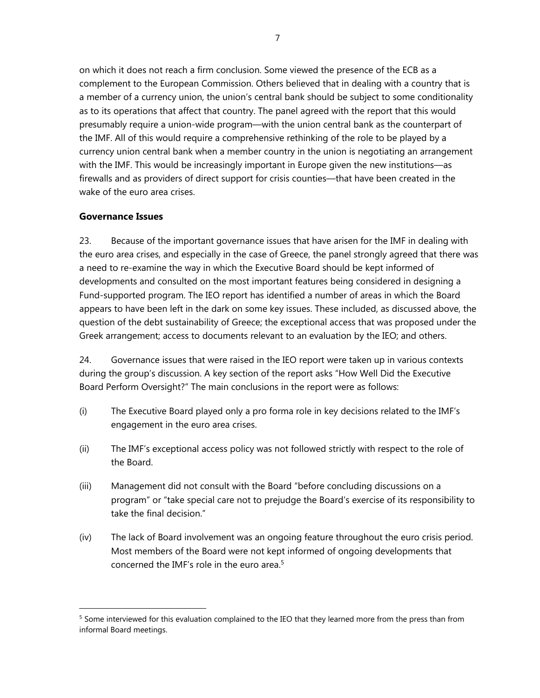on which it does not reach a firm conclusion. Some viewed the presence of the ECB as a complement to the European Commission. Others believed that in dealing with a country that is a member of a currency union, the union's central bank should be subject to some conditionality as to its operations that affect that country. The panel agreed with the report that this would presumably require a union-wide program—with the union central bank as the counterpart of the IMF. All of this would require a comprehensive rethinking of the role to be played by a currency union central bank when a member country in the union is negotiating an arrangement with the IMF. This would be increasingly important in Europe given the new institutions—as firewalls and as providers of direct support for crisis counties—that have been created in the wake of the euro area crises.

## **Governance Issues**

 $\overline{a}$ 

23. Because of the important governance issues that have arisen for the IMF in dealing with the euro area crises, and especially in the case of Greece, the panel strongly agreed that there was a need to re-examine the way in which the Executive Board should be kept informed of developments and consulted on the most important features being considered in designing a Fund-supported program. The IEO report has identified a number of areas in which the Board appears to have been left in the dark on some key issues. These included, as discussed above, the question of the debt sustainability of Greece; the exceptional access that was proposed under the Greek arrangement; access to documents relevant to an evaluation by the IEO; and others.

24. Governance issues that were raised in the IEO report were taken up in various contexts during the group's discussion. A key section of the report asks "How Well Did the Executive Board Perform Oversight?" The main conclusions in the report were as follows:

- (i) The Executive Board played only a pro forma role in key decisions related to the IMF's engagement in the euro area crises.
- (ii) The IMF's exceptional access policy was not followed strictly with respect to the role of the Board.
- (iii) Management did not consult with the Board "before concluding discussions on a program" or "take special care not to prejudge the Board's exercise of its responsibility to take the final decision."
- (iv) The lack of Board involvement was an ongoing feature throughout the euro crisis period. Most members of the Board were not kept informed of ongoing developments that concerned the IMF's role in the euro area.5

<sup>&</sup>lt;sup>5</sup> Some interviewed for this evaluation complained to the IEO that they learned more from the press than from informal Board meetings.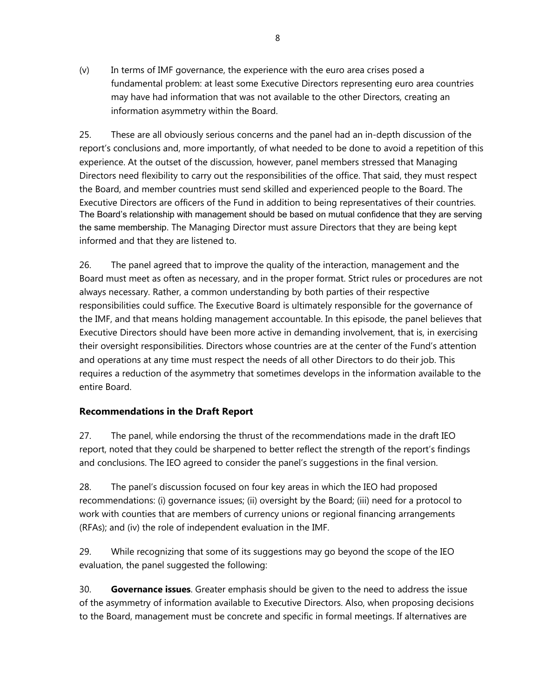(v) In terms of IMF governance, the experience with the euro area crises posed a fundamental problem: at least some Executive Directors representing euro area countries may have had information that was not available to the other Directors, creating an information asymmetry within the Board.

25. These are all obviously serious concerns and the panel had an in-depth discussion of the report's conclusions and, more importantly, of what needed to be done to avoid a repetition of this experience. At the outset of the discussion, however, panel members stressed that Managing Directors need flexibility to carry out the responsibilities of the office. That said, they must respect the Board, and member countries must send skilled and experienced people to the Board. The Executive Directors are officers of the Fund in addition to being representatives of their countries. The Board's relationship with management should be based on mutual confidence that they are serving the same membership. The Managing Director must assure Directors that they are being kept informed and that they are listened to.

26. The panel agreed that to improve the quality of the interaction, management and the Board must meet as often as necessary, and in the proper format. Strict rules or procedures are not always necessary. Rather, a common understanding by both parties of their respective responsibilities could suffice. The Executive Board is ultimately responsible for the governance of the IMF, and that means holding management accountable. In this episode, the panel believes that Executive Directors should have been more active in demanding involvement, that is, in exercising their oversight responsibilities. Directors whose countries are at the center of the Fund's attention and operations at any time must respect the needs of all other Directors to do their job. This requires a reduction of the asymmetry that sometimes develops in the information available to the entire Board.

## **Recommendations in the Draft Report**

27. The panel, while endorsing the thrust of the recommendations made in the draft IEO report, noted that they could be sharpened to better reflect the strength of the report's findings and conclusions. The IEO agreed to consider the panel's suggestions in the final version.

28. The panel's discussion focused on four key areas in which the IEO had proposed recommendations: (i) governance issues; (ii) oversight by the Board; (iii) need for a protocol to work with counties that are members of currency unions or regional financing arrangements (RFAs); and (iv) the role of independent evaluation in the IMF.

29. While recognizing that some of its suggestions may go beyond the scope of the IEO evaluation, the panel suggested the following:

30. **Governance issues**. Greater emphasis should be given to the need to address the issue of the asymmetry of information available to Executive Directors. Also, when proposing decisions to the Board, management must be concrete and specific in formal meetings. If alternatives are